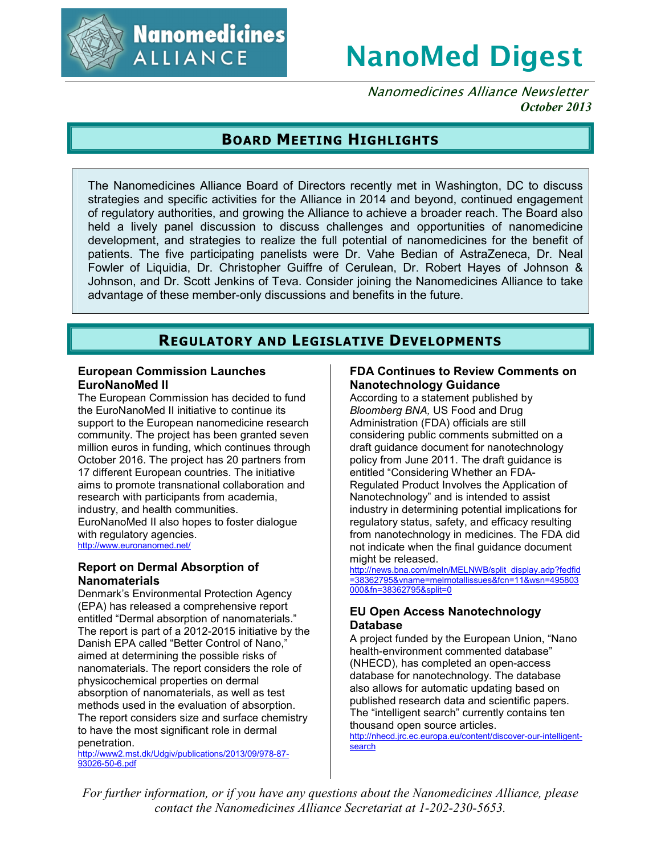

# **NanoMed Digest**

Nanomedicines Alliance Newsletter *October 2013*

# **BOARD MEETING HIGHLIGHTS**

The Nanomedicines Alliance Board of Directors recently met in Washington, DC to discuss strategies and specific activities for the Alliance in 2014 and beyond, continued engagement of regulatory authorities, and growing the Alliance to achieve a broader reach. The Board also held a lively panel discussion to discuss challenges and opportunities of nanomedicine development, and strategies to realize the full potential of nanomedicines for the benefit of patients. The five participating panelists were Dr. Vahe Bedian of AstraZeneca, Dr. Neal Fowler of Liquidia, Dr. Christopher Guiffre of Cerulean, Dr. Robert Hayes of Johnson & Johnson, and Dr. Scott Jenkins of Teva. Consider joining the Nanomedicines Alliance to take advantage of these member-only discussions and benefits in the future.

# **REGULATORY AND LEGISLATIVE DEVELOPMENTS**

#### **European Commission Launches EuroNanoMed II**

The European Commission has decided to fund the EuroNanoMed II initiative to continue its support to the European nanomedicine research community. The project has been granted seven million euros in funding, which continues through October 2016. The project has 20 partners from 17 different European countries. The initiative aims to promote transnational collaboration and research with participants from academia, industry, and health communities. EuroNanoMed II also hopes to foster dialogue with regulatory agencies. http://www.euronanomed.net/

## **Report on Dermal Absorption of Nanomaterials**

Denmark's Environmental Protection Agency (EPA) has released a comprehensive report entitled "Dermal absorption of nanomaterials." The report is part of a 2012-2015 initiative by the Danish EPA called "Better Control of Nano," aimed at determining the possible risks of nanomaterials. The report considers the role of physicochemical properties on dermal absorption of nanomaterials, as well as test methods used in the evaluation of absorption. The report considers size and surface chemistry to have the most significant role in dermal penetration.

http://www2.mst.dk/Udgiv/publications/2013/09/978-87- 93026-50-6.pdf

## **FDA Continues to Review Comments on Nanotechnology Guidance**

According to a statement published by *Bloomberg BNA,* US Food and Drug Administration (FDA) officials are still considering public comments submitted on a draft guidance document for nanotechnology policy from June 2011. The draft guidance is entitled "Considering Whether an FDA-Regulated Product Involves the Application of Nanotechnology" and is intended to assist industry in determining potential implications for regulatory status, safety, and efficacy resulting from nanotechnology in medicines. The FDA did not indicate when the final guidance document might be released.

http://news.bna.com/meln/MELNWB/split\_display.adp?fedfid =38362795&vname=melrnotallissues&fcn=11&wsn=495803 000&fn=38362795&split=0

## **EU Open Access Nanotechnology Database**

A project funded by the European Union, "Nano health-environment commented database" (NHECD), has completed an open-access database for nanotechnology. The database also allows for automatic updating based on published research data and scientific papers. The "intelligent search" currently contains ten thousand open source articles.

http://nhecd.jrc.ec.europa.eu/content/discover-our-intelligent**search** 

*For further information, or if you have any questions about the Nanomedicines Alliance, please contact the Nanomedicines Alliance Secretariat at 1-202-230-5653.*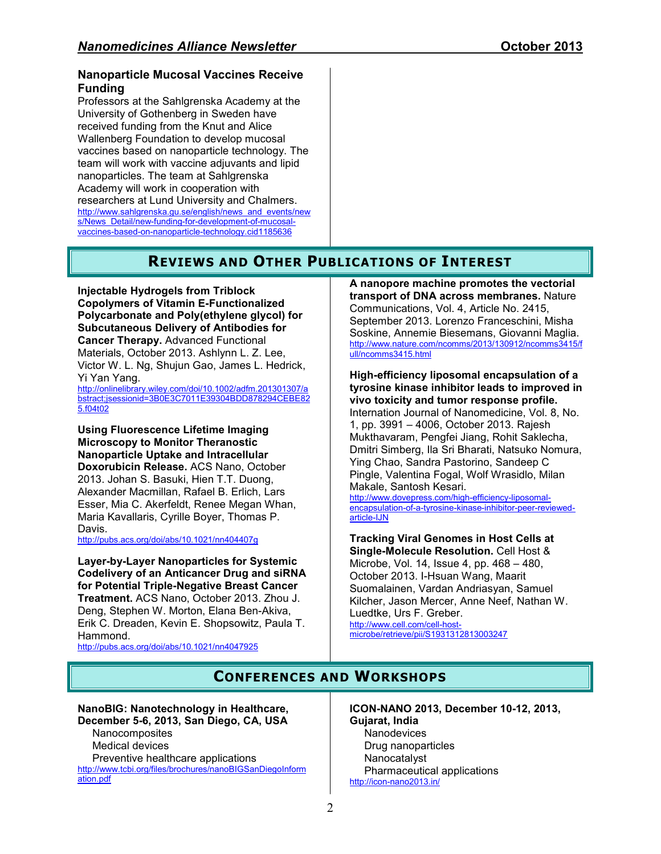#### **Nanoparticle Mucosal Vaccines Receive Funding**

Professors at the Sahlgrenska Academy at the University of Gothenberg in Sweden have received funding from the Knut and Alice Wallenberg Foundation to develop mucosal vaccines based on nanoparticle technology. The team will work with vaccine adjuvants and lipid nanoparticles. The team at Sahlgrenska Academy will work in cooperation with researchers at Lund University and Chalmers. http://www.sahlgrenska.gu.se/english/news\_and\_events/new s/News\_Detail/new-funding-for-development-of-mucosalvaccines-based-on-nanoparticle-technology.cid1185636

# **REVIEWS AND OTHER PUBLICATIONS OF INTEREST**

**Injectable Hydrogels from Triblock Copolymers of Vitamin E-Functionalized Polycarbonate and Poly(ethylene glycol) for Subcutaneous Delivery of Antibodies for Cancer Therapy.** Advanced Functional Materials, October 2013. Ashlynn L. Z. Lee, Victor W. L. Ng, Shujun Gao, James L. Hedrick,

Yi Yan Yang. http://onlinelibrary.wiley.com/doi/10.1002/adfm.201301307/a bstract;jsessionid=3B0E3C7011E39304BDD878294CEBE82 5.f04t02

**Using Fluorescence Lifetime Imaging Microscopy to Monitor Theranostic Nanoparticle Uptake and Intracellular Doxorubicin Release.** ACS Nano, October 2013. Johan S. Basuki, Hien T.T. Duong, Alexander Macmillan, Rafael B. Erlich, Lars Esser, Mia C. Akerfeldt, Renee Megan Whan, Maria Kavallaris, Cyrille Boyer, Thomas P. Davis.

http://pubs.acs.org/doi/abs/10.1021/nn404407g

**Layer-by-Layer Nanoparticles for Systemic Codelivery of an Anticancer Drug and siRNA for Potential Triple-Negative Breast Cancer Treatment.** ACS Nano, October 2013. Zhou J. Deng, Stephen W. Morton, Elana Ben-Akiva, Erik C. Dreaden, Kevin E. Shopsowitz, Paula T. Hammond.

http://pubs.acs.org/doi/abs/10.1021/nn4047925

**A nanopore machine promotes the vectorial transport of DNA across membranes.** Nature Communications, Vol. 4, Article No. 2415, September 2013. Lorenzo Franceschini, Misha Soskine, Annemie Biesemans, Giovanni Maglia. http://www.nature.com/ncomms/2013/130912/ncomms3415/f ull/ncomms3415.html

#### **High-efficiency liposomal encapsulation of a tyrosine kinase inhibitor leads to improved in vivo toxicity and tumor response profile.**

Internation Journal of Nanomedicine, Vol. 8, No. 1, pp. 3991 – 4006, October 2013. Rajesh Mukthavaram, Pengfei Jiang, Rohit Saklecha, Dmitri Simberg, Ila Sri Bharati, Natsuko Nomura, Ying Chao, Sandra Pastorino, Sandeep C Pingle, Valentina Fogal, Wolf Wrasidlo, Milan Makale, Santosh Kesari.

http://www.dovepress.com/high-efficiency-liposomalencapsulation-of-a-tyrosine-kinase-inhibitor-peer-reviewedarticle-IJN

**Tracking Viral Genomes in Host Cells at Single-Molecule Resolution.** Cell Host & Microbe, Vol. 14, Issue 4, pp. 468 – 480, October 2013. I-Hsuan Wang, Maarit Suomalainen, Vardan Andriasyan, Samuel Kilcher, Jason Mercer, Anne Neef, Nathan W. Luedtke, Urs F. Greber. http://www.cell.com/cell-hostmicrobe/retrieve/pii/S1931312813003247

# **CONFERENCES AND WORKSHOPS**

#### **NanoBIG: Nanotechnology in Healthcare, December 5-6, 2013, San Diego, CA, USA**

**Nanocomposites** Medical devices Preventive healthcare applications http://www.tcbi.org/files/brochures/nanoBIGSanDiegoInform ation.pdf

**ICON-NANO 2013, December 10-12, 2013, Gujarat, India Nanodevices** Drug nanoparticles Nanocatalyst Pharmaceutical applications http://icon-nano2013.in/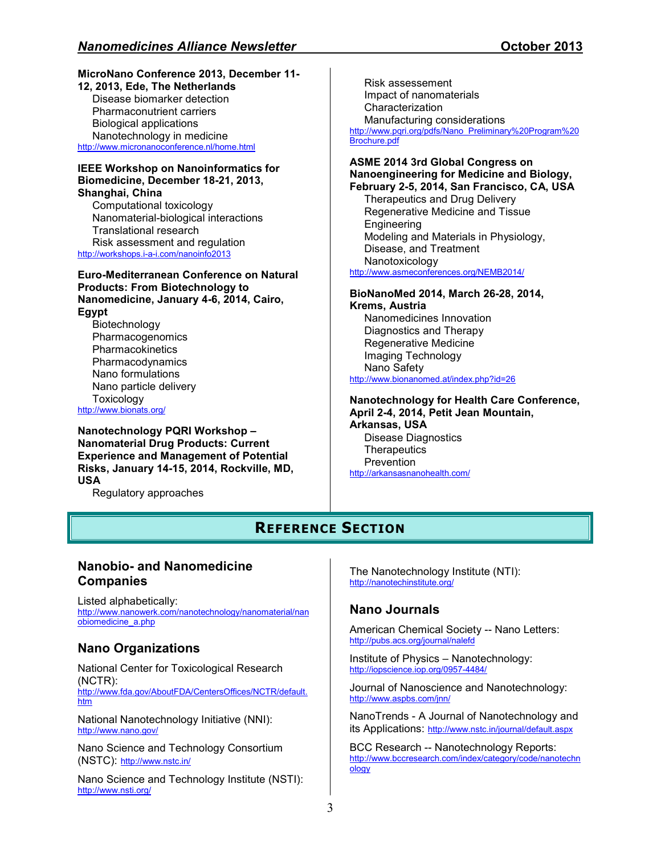#### **MicroNano Conference 2013, December 11-**

**12, 2013, Ede, The Netherlands**  Disease biomarker detection Pharmaconutrient carriers Biological applications Nanotechnology in medicine http://www.micronanoconference.nl/home.html

#### **IEEE Workshop on Nanoinformatics for Biomedicine, December 18-21, 2013, Shanghai, China**

Computational toxicology Nanomaterial-biological interactions Translational research Risk assessment and regulation

http://workshops.i-a-i.com/nanoinfo2013

#### **Euro-Mediterranean Conference on Natural Products: From Biotechnology to Nanomedicine, January 4-6, 2014, Cairo, Egypt**

Biotechnology Pharmacogenomics **Pharmacokinetics** Pharmacodynamics Nano formulations Nano particle delivery **Toxicology** http://www.bionats.org/

**Nanotechnology PQRI Workshop – Nanomaterial Drug Products: Current Experience and Management of Potential Risks, January 14-15, 2014, Rockville, MD, USA** 

Regulatory approaches

Risk assessement Impact of nanomaterials **Characterization** Manufacturing considerations http://www.pqri.org/pdfs/Nano\_Preliminary%20Program%20 Brochure.pdf

#### **ASME 2014 3rd Global Congress on Nanoengineering for Medicine and Biology, February 2-5, 2014, San Francisco, CA, USA**

Therapeutics and Drug Delivery Regenerative Medicine and Tissue Engineering Modeling and Materials in Physiology, Disease, and Treatment Nanotoxicology http://www.asmeconferences.org/NEMB2014/

#### **BioNanoMed 2014, March 26-28, 2014, Krems, Austria**

Nanomedicines Innovation Diagnostics and Therapy Regenerative Medicine Imaging Technology Nano Safety http://www.bionanomed.at/index.php?id=26

#### **Nanotechnology for Health Care Conference, April 2-4, 2014, Petit Jean Mountain, Arkansas, USA**

Disease Diagnostics **Therapeutics** Prevention http://arkansasnanohealth.com/

# **REFERENCE SECTION**

## **Nanobio- and Nanomedicine Companies**

Listed alphabetically: http://www.nanowerk.com/nanotechnology/nanomaterial/nan obiomedicine\_a.php

## **Nano Organizations**

National Center for Toxicological Research (NCTR): http://www.fda.gov/AboutFDA/CentersOffices/NCTR/default. htm

National Nanotechnology Initiative (NNI): http://www.nano.gov/

Nano Science and Technology Consortium (NSTC): http://www.nstc.in/

Nano Science and Technology Institute (NSTI): http://www.nsti.org/

The Nanotechnology Institute (NTI): http://nanotechinstitute.org/

## **Nano Journals**

American Chemical Society -- Nano Letters: http://pubs.acs.org/journal/nalefd

Institute of Physics – Nanotechnology: http://iopscience.iop.org/0957-4484/

Journal of Nanoscience and Nanotechnology: http://www.aspbs.com/jnn/

NanoTrends - A Journal of Nanotechnology and its Applications: http://www.nstc.in/journal/default.aspx

BCC Research -- Nanotechnology Reports: http://www.bccresearch.com/index/category/code/nanotechn ology